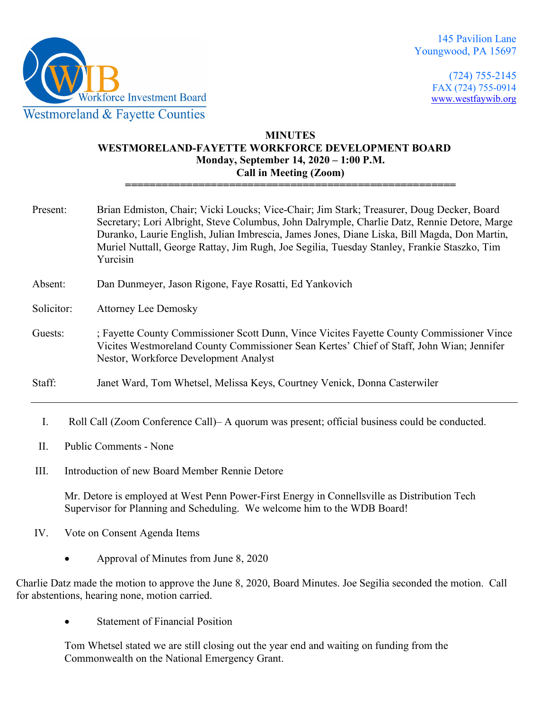

(724) 755-2145 FAX (724) 755-0914 [www.westfaywib.org](http://www.westfaywib.org/)

# **MINUTES WESTMORELAND-FAYETTE WORKFORCE DEVELOPMENT BOARD Monday, September 14, 2020 – 1:00 P.M. Call in Meeting (Zoom)**

**======================================================**

- Present: Brian Edmiston, Chair; Vicki Loucks; Vice-Chair; Jim Stark; Treasurer, Doug Decker, Board Secretary; Lori Albright, Steve Columbus, John Dalrymple, Charlie Datz, Rennie Detore, Marge Duranko, Laurie English, Julian Imbrescia, James Jones, Diane Liska, Bill Magda, Don Martin, Muriel Nuttall, George Rattay, Jim Rugh, Joe Segilia, Tuesday Stanley, Frankie Staszko, Tim Yurcisin
- Absent: Dan Dunmeyer, Jason Rigone, Faye Rosatti, Ed Yankovich
- Solicitor: Attorney Lee Demosky
- Guests: ; Fayette County Commissioner Scott Dunn, Vince Vicites Fayette County Commissioner Vince Vicites Westmoreland County Commissioner Sean Kertes' Chief of Staff, John Wian; Jennifer Nestor, Workforce Development Analyst
- Staff: Janet Ward, Tom Whetsel, Melissa Keys, Courtney Venick, Donna Casterwiler
	- I. Roll Call (Zoom Conference Call)– A quorum was present; official business could be conducted.
- II. Public Comments None
- III. Introduction of new Board Member Rennie Detore

Mr. Detore is employed at West Penn Power-First Energy in Connellsville as Distribution Tech Supervisor for Planning and Scheduling. We welcome him to the WDB Board!

- IV. Vote on Consent Agenda Items
	- Approval of Minutes from June 8, 2020

Charlie Datz made the motion to approve the June 8, 2020, Board Minutes. Joe Segilia seconded the motion. Call for abstentions, hearing none, motion carried.

• Statement of Financial Position

Tom Whetsel stated we are still closing out the year end and waiting on funding from the Commonwealth on the National Emergency Grant.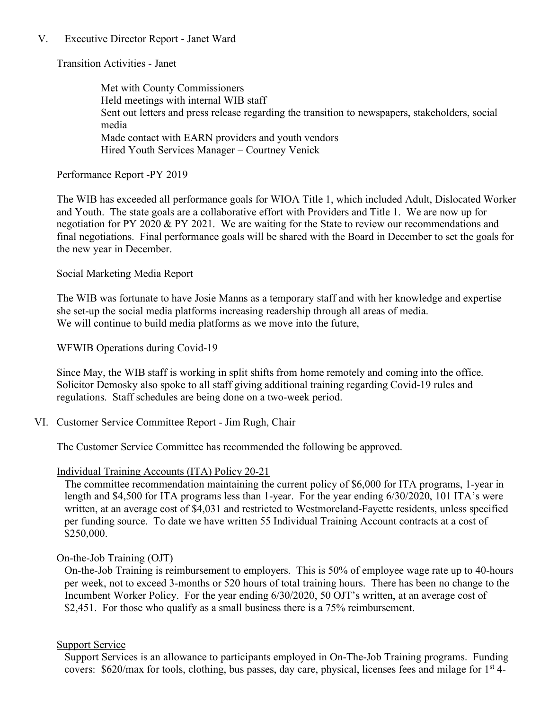## V. Executive Director Report - Janet Ward

Transition Activities - Janet

Met with County Commissioners Held meetings with internal WIB staff Sent out letters and press release regarding the transition to newspapers, stakeholders, social media Made contact with EARN providers and youth vendors Hired Youth Services Manager – Courtney Venick

Performance Report -PY 2019

The WIB has exceeded all performance goals for WIOA Title 1, which included Adult, Dislocated Worker and Youth. The state goals are a collaborative effort with Providers and Title 1. We are now up for negotiation for PY 2020 & PY 2021. We are waiting for the State to review our recommendations and final negotiations. Final performance goals will be shared with the Board in December to set the goals for the new year in December.

Social Marketing Media Report

The WIB was fortunate to have Josie Manns as a temporary staff and with her knowledge and expertise she set-up the social media platforms increasing readership through all areas of media. We will continue to build media platforms as we move into the future,

WFWIB Operations during Covid-19

Since May, the WIB staff is working in split shifts from home remotely and coming into the office. Solicitor Demosky also spoke to all staff giving additional training regarding Covid-19 rules and regulations. Staff schedules are being done on a two-week period.

VI. Customer Service Committee Report - Jim Rugh, Chair

The Customer Service Committee has recommended the following be approved.

Individual Training Accounts (ITA) Policy 20-21

The committee recommendation maintaining the current policy of \$6,000 for ITA programs, 1-year in length and \$4,500 for ITA programs less than 1-year. For the year ending 6/30/2020, 101 ITA's were written, at an average cost of \$4,031 and restricted to Westmoreland-Fayette residents, unless specified per funding source. To date we have written 55 Individual Training Account contracts at a cost of \$250,000.

### On-the-Job Training (OJT)

On-the-Job Training is reimbursement to employers. This is 50% of employee wage rate up to 40-hours per week, not to exceed 3-months or 520 hours of total training hours. There has been no change to the Incumbent Worker Policy. For the year ending 6/30/2020, 50 OJT's written, at an average cost of \$2,451. For those who qualify as a small business there is a 75% reimbursement.

### Support Service

Support Services is an allowance to participants employed in On-The-Job Training programs. Funding covers:  $$620/max$  for tools, clothing, bus passes, day care, physical, licenses fees and milage for  $1<sup>st</sup>$  4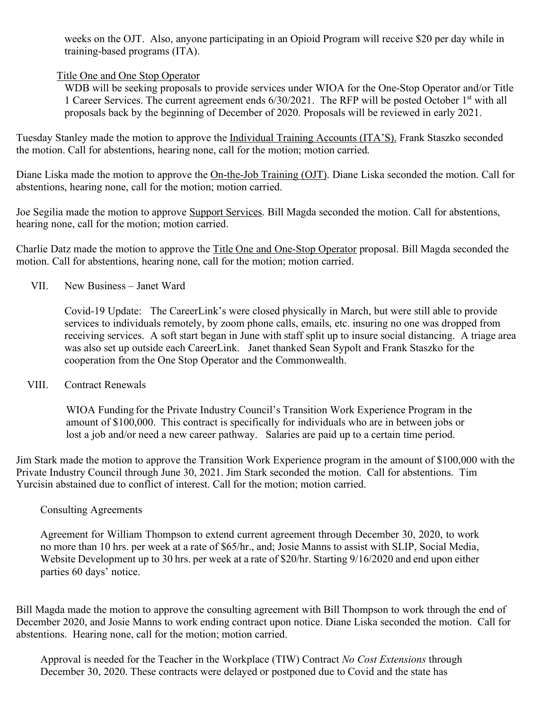weeks on the OJT. Also, anyone participating in an Opioid Program will receive \$20 per day while in training-based programs (ITA).

# Title One and One Stop Operator

WDB will be seeking proposals to provide services under WIOA for the One-Stop Operator and/or Title 1 Career Services. The current agreement ends 6/30/2021. The RFP will be posted October 1st with all proposals back by the beginning of December of 2020. Proposals will be reviewed in early 2021.

Tuesday Stanley made the motion to approve the Individual Training Accounts (ITA'S). Frank Staszko seconded the motion. Call for abstentions, hearing none, call for the motion; motion carried.

Diane Liska made the motion to approve the On-the-Job Training (OJT). Diane Liska seconded the motion. Call for abstentions, hearing none, call for the motion; motion carried.

Joe Segilia made the motion to approve Support Services. Bill Magda seconded the motion. Call for abstentions, hearing none, call for the motion; motion carried.

Charlie Datz made the motion to approve the Title One and One-Stop Operator proposal. Bill Magda seconded the motion. Call for abstentions, hearing none, call for the motion; motion carried.

VII. New Business – Janet Ward

Covid-19 Update: The CareerLink's were closed physically in March, but were still able to provide services to individuals remotely, by zoom phone calls, emails, etc. insuring no one was dropped from receiving services. A soft start began in June with staff split up to insure social distancing. A triage area was also set up outside each CareerLink. Janet thanked Sean Sypolt and Frank Staszko for the cooperation from the One Stop Operator and the Commonwealth.

VIII. Contract Renewals

WIOA Funding for the Private Industry Council's Transition Work Experience Program in the amount of \$100,000. This contract is specifically for individuals who are in between jobs or lost a job and/or need a new career pathway. Salaries are paid up to a certain time period.

Jim Stark made the motion to approve the Transition Work Experience program in the amount of \$100,000 with the Private Industry Council through June 30, 2021. Jim Stark seconded the motion. Call for abstentions. Tim Yurcisin abstained due to conflict of interest. Call for the motion; motion carried.

### Consulting Agreements

Agreement for William Thompson to extend current agreement through December 30, 2020, to work no more than 10 hrs. per week at a rate of \$65/hr., and; Josie Manns to assist with SLIP, Social Media, Website Development up to 30 hrs. per week at a rate of \$20/hr. Starting 9/16/2020 and end upon either parties 60 days' notice.

Bill Magda made the motion to approve the consulting agreement with Bill Thompson to work through the end of December 2020, and Josie Manns to work ending contract upon notice. Diane Liska seconded the motion. Call for abstentions. Hearing none, call for the motion; motion carried.

Approval is needed for the Teacher in the Workplace (TIW) Contract *No Cost Extensions* through December 30, 2020. These contracts were delayed or postponed due to Covid and the state has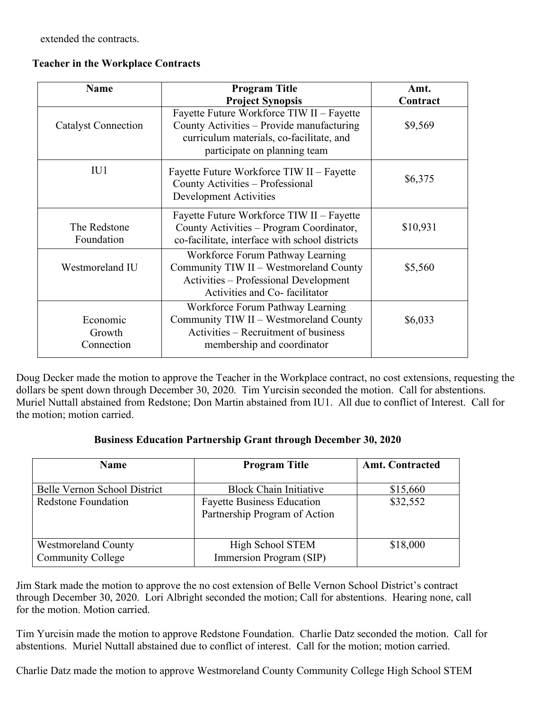extended the contracts.

|  |  |  |  | <b>Teacher in the Workplace Contracts</b> |
|--|--|--|--|-------------------------------------------|
|--|--|--|--|-------------------------------------------|

| <b>Name</b>                      | <b>Program Title</b><br><b>Project Synopsis</b>                                                                                                                    | Amt.<br>Contract |
|----------------------------------|--------------------------------------------------------------------------------------------------------------------------------------------------------------------|------------------|
| <b>Catalyst Connection</b>       | Fayette Future Workforce TIW II - Fayette<br>County Activities - Provide manufacturing<br>curriculum materials, co-facilitate, and<br>participate on planning team | \$9,569          |
| IU1                              | Fayette Future Workforce TIW II – Fayette<br>County Activities - Professional<br><b>Development Activities</b>                                                     | \$6,375          |
| The Redstone<br>Foundation       | Fayette Future Workforce TIW II – Fayette<br>County Activities - Program Coordinator,<br>co-facilitate, interface with school districts                            | \$10,931         |
| Westmoreland IU                  | Workforce Forum Pathway Learning<br>Community TIW II - Westmoreland County<br>Activities - Professional Development<br>Activities and Co-facilitator               | \$5,560          |
| Economic<br>Growth<br>Connection | Workforce Forum Pathway Learning<br>Community TIW II - Westmoreland County<br>Activities – Recruitment of business<br>membership and coordinator                   | \$6,033          |

Doug Decker made the motion to approve the Teacher in the Workplace contract, no cost extensions, requesting the dollars be spent down through December 30, 2020. Tim Yurcisin seconded the motion. Call for abstentions. Muriel Nuttall abstained from Redstone; Don Martin abstained from IU1. All due to conflict of Interest. Call for the motion; motion carried.

|  |  |  |  | <b>Business Education Partnership Grant through December 30, 2020</b> |
|--|--|--|--|-----------------------------------------------------------------------|
|--|--|--|--|-----------------------------------------------------------------------|

| <b>Name</b>                                            | <b>Program Title</b>                                               | <b>Amt. Contracted</b> |
|--------------------------------------------------------|--------------------------------------------------------------------|------------------------|
| Belle Vernon School District                           | <b>Block Chain Initiative</b>                                      | \$15,660               |
| <b>Redstone Foundation</b>                             | <b>Fayette Business Education</b><br>Partnership Program of Action | \$32,552               |
| <b>Westmoreland County</b><br><b>Community College</b> | High School STEM<br>Immersion Program (SIP)                        | \$18,000               |

Jim Stark made the motion to approve the no cost extension of Belle Vernon School District's contract through December 30, 2020. Lori Albright seconded the motion; Call for abstentions. Hearing none, call for the motion. Motion carried.

Tim Yurcisin made the motion to approve Redstone Foundation. Charlie Datz seconded the motion. Call for abstentions. Muriel Nuttall abstained due to conflict of interest. Call for the motion; motion carried.

Charlie Datz made the motion to approve Westmoreland County Community College High School STEM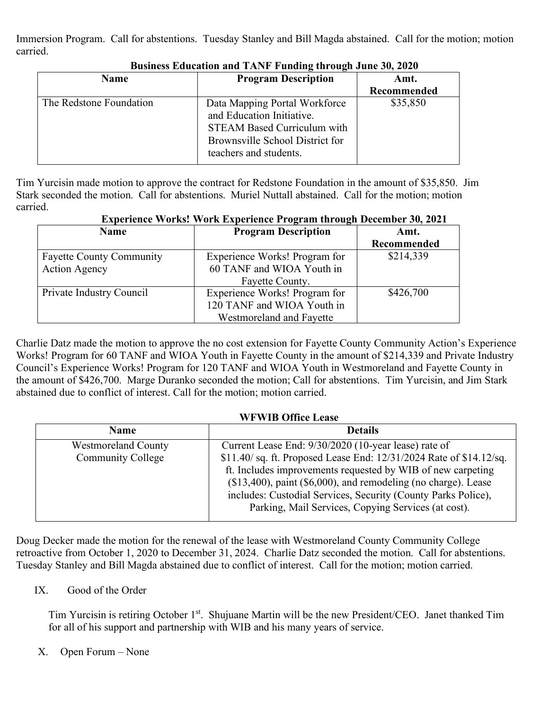Immersion Program. Call for abstentions. Tuesday Stanley and Bill Magda abstained. Call for the motion; motion carried.

| Name                    | <b>Program Description</b>                                                                                                                                    | Amt.        |
|-------------------------|---------------------------------------------------------------------------------------------------------------------------------------------------------------|-------------|
|                         |                                                                                                                                                               | Recommended |
| The Redstone Foundation | Data Mapping Portal Workforce<br>and Education Initiative.<br><b>STEAM Based Curriculum with</b><br>Brownsville School District for<br>teachers and students. | \$35,850    |

## **Business Education and TANF Funding through June 30, 2020**

Tim Yurcisin made motion to approve the contract for Redstone Foundation in the amount of \$35,850. Jim Stark seconded the motion. Call for abstentions. Muriel Nuttall abstained. Call for the motion; motion carried.

| Experience works. Work Experience Frogram through December 00, 2021 |                               |             |  |
|---------------------------------------------------------------------|-------------------------------|-------------|--|
| <b>Name</b>                                                         | <b>Program Description</b>    | Amt.        |  |
|                                                                     |                               | Recommended |  |
| <b>Fayette County Community</b>                                     | Experience Works! Program for | \$214,339   |  |
| <b>Action Agency</b>                                                | 60 TANF and WIOA Youth in     |             |  |
|                                                                     | Fayette County.               |             |  |
| Private Industry Council                                            | Experience Works! Program for | \$426,700   |  |
|                                                                     | 120 TANF and WIOA Youth in    |             |  |
|                                                                     | Westmoreland and Fayette      |             |  |

# **Experience Works! Work Experience Program through December 30, 2021**

Charlie Datz made the motion to approve the no cost extension for Fayette County Community Action's Experience Works! Program for 60 TANF and WIOA Youth in Fayette County in the amount of \$214,339 and Private Industry Council's Experience Works! Program for 120 TANF and WIOA Youth in Westmoreland and Fayette County in the amount of \$426,700. Marge Duranko seconded the motion; Call for abstentions. Tim Yurcisin, and Jim Stark abstained due to conflict of interest. Call for the motion; motion carried.

### **WFWIB Office Lease**

| <b>Name</b>                                            | <b>Details</b>                                                                                                                                                                                                                                                                                                                                                                           |
|--------------------------------------------------------|------------------------------------------------------------------------------------------------------------------------------------------------------------------------------------------------------------------------------------------------------------------------------------------------------------------------------------------------------------------------------------------|
| <b>Westmoreland County</b><br><b>Community College</b> | Current Lease End: 9/30/2020 (10-year lease) rate of<br>\$11.40/ sq. ft. Proposed Lease End: 12/31/2024 Rate of \$14.12/sq.<br>ft. Includes improvements requested by WIB of new carpeting<br>$($13,400)$ , paint $($6,000)$ , and remodeling (no charge). Lease<br>includes: Custodial Services, Security (County Parks Police),<br>Parking, Mail Services, Copying Services (at cost). |
|                                                        |                                                                                                                                                                                                                                                                                                                                                                                          |

Doug Decker made the motion for the renewal of the lease with Westmoreland County Community College retroactive from October 1, 2020 to December 31, 2024. Charlie Datz seconded the motion. Call for abstentions. Tuesday Stanley and Bill Magda abstained due to conflict of interest. Call for the motion; motion carried.

# IX. Good of the Order

Tim Yurcisin is retiring October 1<sup>st</sup>. Shujuane Martin will be the new President/CEO. Janet thanked Tim for all of his support and partnership with WIB and his many years of service.

# X. Open Forum – None